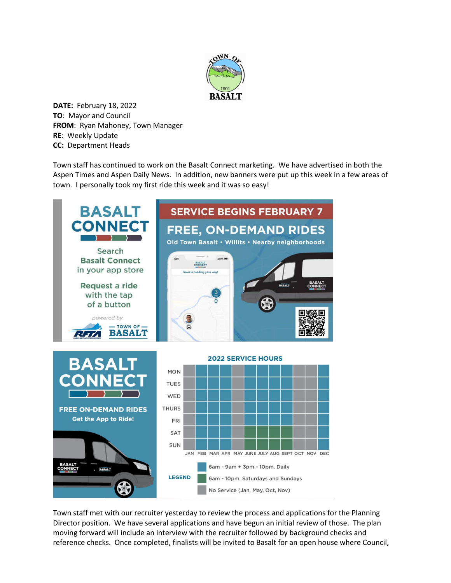

**DATE:** February 18, 2022 **TO**: Mayor and Council **FROM**: Ryan Mahoney, Town Manager **RE**: Weekly Update **CC:** Department Heads

Town staff has continued to work on the Basalt Connect marketing. We have advertised in both the Aspen Times and Aspen Daily News. In addition, new banners were put up this week in a few areas of town. I personally took my first ride this week and it was so easy!



Town staff met with our recruiter yesterday to review the process and applications for the Planning Director position. We have several applications and have begun an initial review of those. The plan moving forward will include an interview with the recruiter followed by background checks and reference checks. Once completed, finalists will be invited to Basalt for an open house where Council,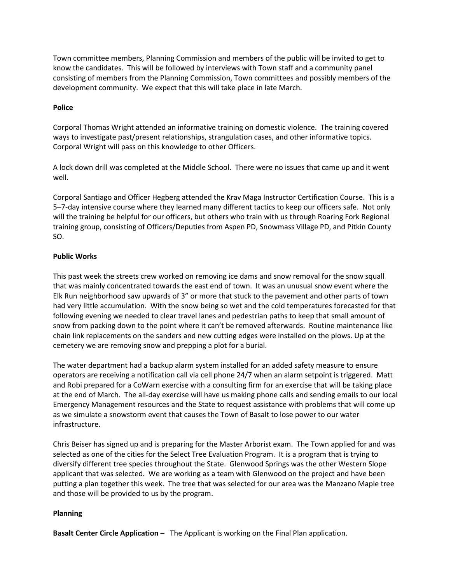Town committee members, Planning Commission and members of the public will be invited to get to know the candidates. This will be followed by interviews with Town staff and a community panel consisting of members from the Planning Commission, Town committees and possibly members of the development community. We expect that this will take place in late March.

## **Police**

Corporal Thomas Wright attended an informative training on domestic violence. The training covered ways to investigate past/present relationships, strangulation cases, and other informative topics. Corporal Wright will pass on this knowledge to other Officers.

A lock down drill was completed at the Middle School. There were no issues that came up and it went well.

Corporal Santiago and Officer Hegberg attended the Krav Maga Instructor Certification Course. This is a 5–7-day intensive course where they learned many different tactics to keep our officers safe. Not only will the training be helpful for our officers, but others who train with us through Roaring Fork Regional training group, consisting of Officers/Deputies from Aspen PD, Snowmass Village PD, and Pitkin County SO.

## **Public Works**

This past week the streets crew worked on removing ice dams and snow removal for the snow squall that was mainly concentrated towards the east end of town. It was an unusual snow event where the Elk Run neighborhood saw upwards of 3" or more that stuck to the pavement and other parts of town had very little accumulation. With the snow being so wet and the cold temperatures forecasted for that following evening we needed to clear travel lanes and pedestrian paths to keep that small amount of snow from packing down to the point where it can't be removed afterwards. Routine maintenance like chain link replacements on the sanders and new cutting edges were installed on the plows. Up at the cemetery we are removing snow and prepping a plot for a burial.

The water department had a backup alarm system installed for an added safety measure to ensure operators are receiving a notification call via cell phone 24/7 when an alarm setpoint is triggered. Matt and Robi prepared for a CoWarn exercise with a consulting firm for an exercise that will be taking place at the end of March. The all-day exercise will have us making phone calls and sending emails to our local Emergency Management resources and the State to request assistance with problems that will come up as we simulate a snowstorm event that causes the Town of Basalt to lose power to our water infrastructure.

Chris Beiser has signed up and is preparing for the Master Arborist exam. The Town applied for and was selected as one of the cities for the Select Tree Evaluation Program. It is a program that is trying to diversify different tree species throughout the State. Glenwood Springs was the other Western Slope applicant that was selected. We are working as a team with Glenwood on the project and have been putting a plan together this week. The tree that was selected for our area was the Manzano Maple tree and those will be provided to us by the program.

## **Planning**

**Basalt Center Circle Application –** The Applicant is working on the Final Plan application.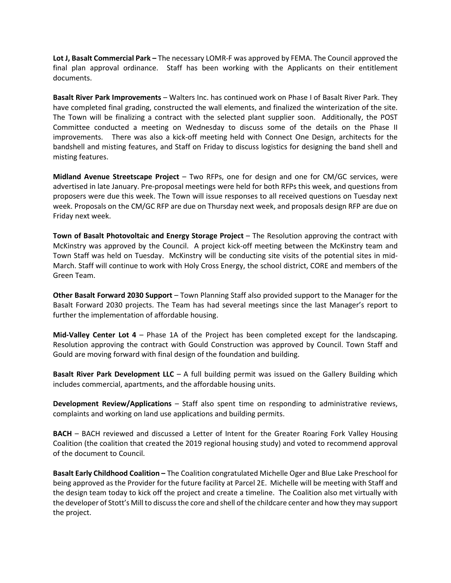**Lot J, Basalt Commercial Park –** The necessary LOMR-F was approved by FEMA. The Council approved the final plan approval ordinance. Staff has been working with the Applicants on their entitlement documents.

**Basalt River Park Improvements** – Walters Inc. has continued work on Phase I of Basalt River Park. They have completed final grading, constructed the wall elements, and finalized the winterization of the site. The Town will be finalizing a contract with the selected plant supplier soon. Additionally, the POST Committee conducted a meeting on Wednesday to discuss some of the details on the Phase II improvements. There was also a kick-off meeting held with Connect One Design, architects for the bandshell and misting features, and Staff on Friday to discuss logistics for designing the band shell and misting features.

**Midland Avenue Streetscape Project** – Two RFPs, one for design and one for CM/GC services, were advertised in late January. Pre-proposal meetings were held for both RFPs this week, and questions from proposers were due this week. The Town will issue responses to all received questions on Tuesday next week. Proposals on the CM/GC RFP are due on Thursday next week, and proposals design RFP are due on Friday next week.

**Town of Basalt Photovoltaic and Energy Storage Project** – The Resolution approving the contract with McKinstry was approved by the Council. A project kick-off meeting between the McKinstry team and Town Staff was held on Tuesday. McKinstry will be conducting site visits of the potential sites in mid-March. Staff will continue to work with Holy Cross Energy, the school district, CORE and members of the Green Team.

**Other Basalt Forward 2030 Support** – Town Planning Staff also provided support to the Manager for the Basalt Forward 2030 projects. The Team has had several meetings since the last Manager's report to further the implementation of affordable housing.

**Mid-Valley Center Lot 4** – Phase 1A of the Project has been completed except for the landscaping. Resolution approving the contract with Gould Construction was approved by Council. Town Staff and Gould are moving forward with final design of the foundation and building.

**Basalt River Park Development LLC** – A full building permit was issued on the Gallery Building which includes commercial, apartments, and the affordable housing units.

**Development Review/Applications** – Staff also spent time on responding to administrative reviews, complaints and working on land use applications and building permits.

**BACH** – BACH reviewed and discussed a Letter of Intent for the Greater Roaring Fork Valley Housing Coalition (the coalition that created the 2019 regional housing study) and voted to recommend approval of the document to Council.

**Basalt Early Childhood Coalition –** The Coalition congratulated Michelle Oger and Blue Lake Preschool for being approved as the Provider for the future facility at Parcel 2E. Michelle will be meeting with Staff and the design team today to kick off the project and create a timeline. The Coalition also met virtually with the developer of Stott's Mill to discuss the core and shell of the childcare center and how they may support the project.